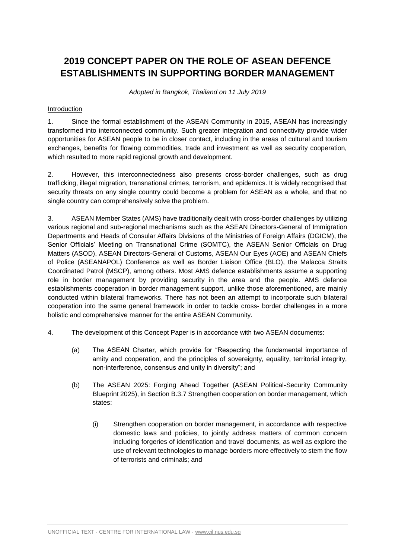# **2019 CONCEPT PAPER ON THE ROLE OF ASEAN DEFENCE ESTABLISHMENTS IN SUPPORTING BORDER MANAGEMENT**

*Adopted in Bangkok, Thailand on 11 July 2019*

## Introduction

1. Since the formal establishment of the ASEAN Community in 2015, ASEAN has increasingly transformed into interconnected community. Such greater integration and connectivity provide wider opportunities for ASEAN people to be in closer contact, including in the areas of cultural and tourism exchanges, benefits for flowing commodities, trade and investment as well as security cooperation, which resulted to more rapid regional growth and development.

2. However, this interconnectedness also presents cross-border challenges, such as drug trafficking, illegal migration, transnational crimes, terrorism, and epidemics. It is widely recognised that security threats on any single country could become a problem for ASEAN as a whole, and that no single country can comprehensively solve the problem.

3. ASEAN Member States (AMS) have traditionally dealt with cross-border challenges by utilizing various regional and sub-regional mechanisms such as the ASEAN Directors-General of Immigration Departments and Heads of Consular Affairs Divisions of the Ministries of Foreign Affairs (DGICM), the Senior Officials' Meeting on Transnational Crime (SOMTC), the ASEAN Senior Officials on Drug Matters (ASOD), ASEAN Directors-General of Customs, ASEAN Our Eyes (AOE) and ASEAN Chiefs of Police (ASEANAPOL) Conference as well as Border Liaison Office (BLO), the Malacca Straits Coordinated Patrol (MSCP), among others. Most AMS defence establishments assume a supporting role in border management by providing security in the area and the people. AMS defence establishments cooperation in border management support, unlike those aforementioned, are mainly conducted within bilateral frameworks. There has not been an attempt to incorporate such bilateral cooperation into the same general framework in order to tackle cross- border challenges in a more holistic and comprehensive manner for the entire ASEAN Community.

- 4. The development of this Concept Paper is in accordance with two ASEAN documents:
	- (a) The ASEAN Charter, which provide for "Respecting the fundamental importance of amity and cooperation, and the principles of sovereignty, equality, territorial integrity, non-interference, consensus and unity in diversity"; and
	- (b) The ASEAN 2025: Forging Ahead Together (ASEAN Political-Security Community Blueprint 2025), in Section B.3.7 Strengthen cooperation on border management, which states:
		- (i) Strengthen cooperation on border management, in accordance with respective domestic laws and policies, to jointly address matters of common concern including forgeries of identification and travel documents, as well as explore the use of relevant technologies to manage borders more effectively to stem the flow of terrorists and criminals; and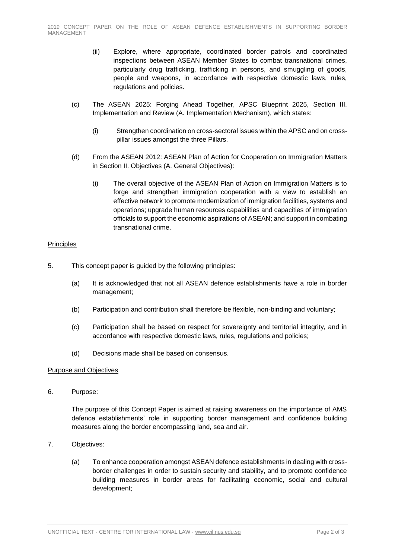- (ii) Explore, where appropriate, coordinated border patrols and coordinated inspections between ASEAN Member States to combat transnational crimes, particularly drug trafficking, trafficking in persons, and smuggling of goods, people and weapons, in accordance with respective domestic laws, rules, regulations and policies.
- (c) The ASEAN 2025: Forging Ahead Together, APSC Blueprint 2025, Section III. Implementation and Review (A. Implementation Mechanism), which states:
	- (i) Strengthen coordination on cross-sectoral issues within the APSC and on crosspillar issues amongst the three Pillars.
- (d) From the ASEAN 2012: ASEAN Plan of Action for Cooperation on Immigration Matters in Section II. Objectives (A. General Objectives):
	- (i) The overall objective of the ASEAN Plan of Action on Immigration Matters is to forge and strengthen immigration cooperation with a view to establish an effective network to promote modernization of immigration facilities, systems and operations; upgrade human resources capabilities and capacities of immigration officials to support the economic aspirations of ASEAN; and support in combating transnational crime.

### Principles

- 5. This concept paper is guided by the following principles:
	- (a) It is acknowledged that not all ASEAN defence establishments have a role in border management;
	- (b) Participation and contribution shall therefore be flexible, non-binding and voluntary;
	- (c) Participation shall be based on respect for sovereignty and territorial integrity, and in accordance with respective domestic laws, rules, regulations and policies;
	- (d) Decisions made shall be based on consensus.

### Purpose and Objectives

6. Purpose:

The purpose of this Concept Paper is aimed at raising awareness on the importance of AMS defence establishments' role in supporting border management and confidence building measures along the border encompassing land, sea and air.

- 7. Objectives:
	- (a) To enhance cooperation amongst ASEAN defence establishments in dealing with crossborder challenges in order to sustain security and stability, and to promote confidence building measures in border areas for facilitating economic, social and cultural development;